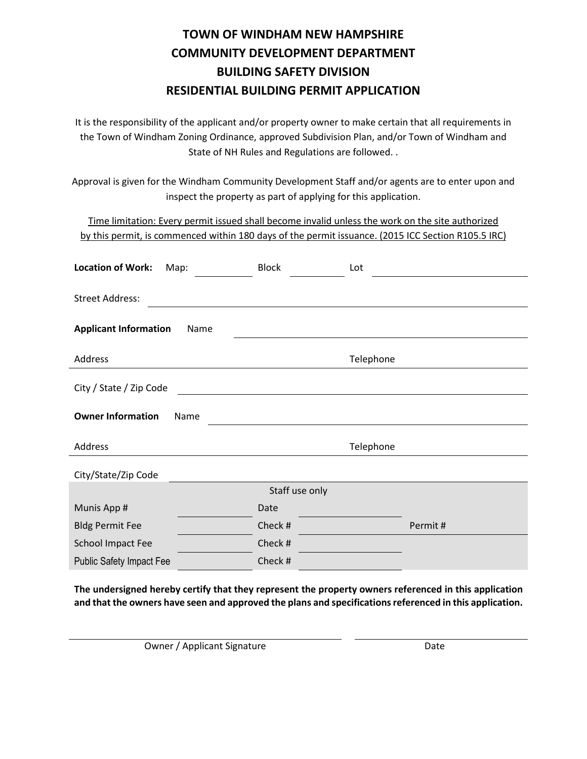## **TOWN OF WINDHAM NEW HAMPSHIRE COMMUNITY DEVELOPMENT DEPARTMENT BUILDING SAFETY DIVISION RESIDENTIAL BUILDING PERMIT APPLICATION**

It is the responsibility of the applicant and/or property owner to make certain that all requirements in the Town of Windham Zoning Ordinance, approved Subdivision Plan, and/or Town of Windham and State of NH Rules and Regulations are followed. .

Approval is given for the Windham Community Development Staff and/or agents are to enter upon and inspect the property as part of applying for this application.

Time limitation: Every permit issued shall become invalid unless the work on the site authorized by this permit, is commenced within 180 days of the permit issuance. (2015 ICC Section R105.5 IRC)

| <b>Location of Work:</b><br>Map:     | <b>Block</b>   | Lot       |
|--------------------------------------|----------------|-----------|
| <b>Street Address:</b>               |                |           |
| <b>Applicant Information</b><br>Name |                |           |
| Address                              |                | Telephone |
| City / State / Zip Code              |                |           |
| <b>Owner Information</b><br>Name     |                |           |
| Address                              |                | Telephone |
| City/State/Zip Code                  |                |           |
|                                      | Staff use only |           |
| Munis App #                          | Date           |           |
| <b>Bldg Permit Fee</b>               | Check #        | Permit#   |
| <b>School Impact Fee</b>             | Check #        |           |
| <b>Public Safety Impact Fee</b>      | Check #        |           |

**The undersigned hereby certify that they represent the property owners referenced in this application and that the owners have seen and approved the plans and specifications referenced in this application.**

Owner / Applicant Signature Date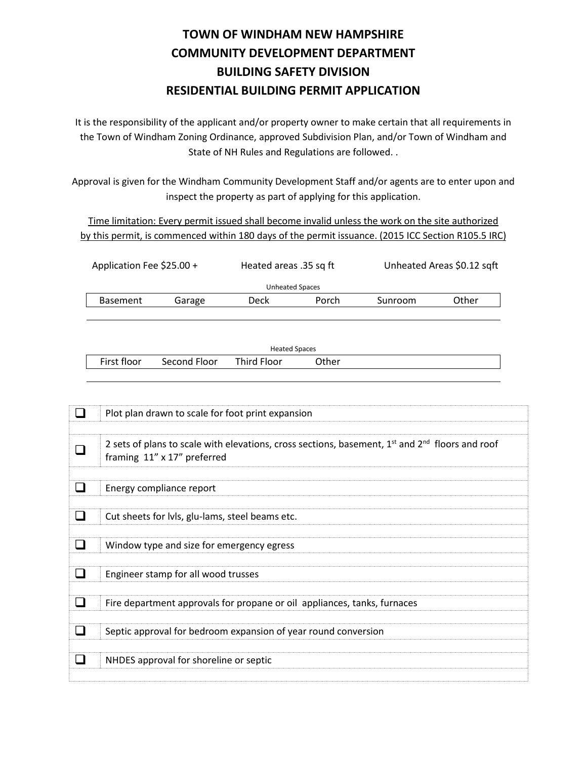## **TOWN OF WINDHAM NEW HAMPSHIRE COMMUNITY DEVELOPMENT DEPARTMENT BUILDING SAFETY DIVISION RESIDENTIAL BUILDING PERMIT APPLICATION**

It is the responsibility of the applicant and/or property owner to make certain that all requirements in the Town of Windham Zoning Ordinance, approved Subdivision Plan, and/or Town of Windham and State of NH Rules and Regulations are followed. .

Approval is given for the Windham Community Development Staff and/or agents are to enter upon and inspect the property as part of applying for this application.

Time limitation: Every permit issued shall become invalid unless the work on the site authorized by this permit, is commenced within 180 days of the permit issuance. (2015 ICC Section R105.5 IRC)

| Application Fee \$25.00 + |        |      | Heated areas .35 sq ft |         | Unheated Areas \$0.12 sqft |  |
|---------------------------|--------|------|------------------------|---------|----------------------------|--|
| Unheated Spaces           |        |      |                        |         |                            |  |
| <b>Basement</b>           | Garage | Deck | Porch                  | Sunroom | Other                      |  |
|                           |        |      |                        |         |                            |  |

| <b>Heated Spaces</b> |              |             |       |  |  |
|----------------------|--------------|-------------|-------|--|--|
| First floor          | Second Floor | Third Floor | Other |  |  |

| Plot plan drawn to scale for foot print expansion                                                                                  |
|------------------------------------------------------------------------------------------------------------------------------------|
| 2 sets of plans to scale with elevations, cross sections, basement, $1st$ and $2nd$ floors and roof<br>framing 11" x 17" preferred |
| Energy compliance report                                                                                                           |
| Cut sheets for lvls, glu-lams, steel beams etc.                                                                                    |
| Window type and size for emergency egress                                                                                          |
| Engineer stamp for all wood trusses                                                                                                |
| Fire department approvals for propane or oil appliances, tanks, furnaces                                                           |
| Septic approval for bedroom expansion of year round conversion                                                                     |
| NHDES approval for shoreline or septic                                                                                             |
|                                                                                                                                    |